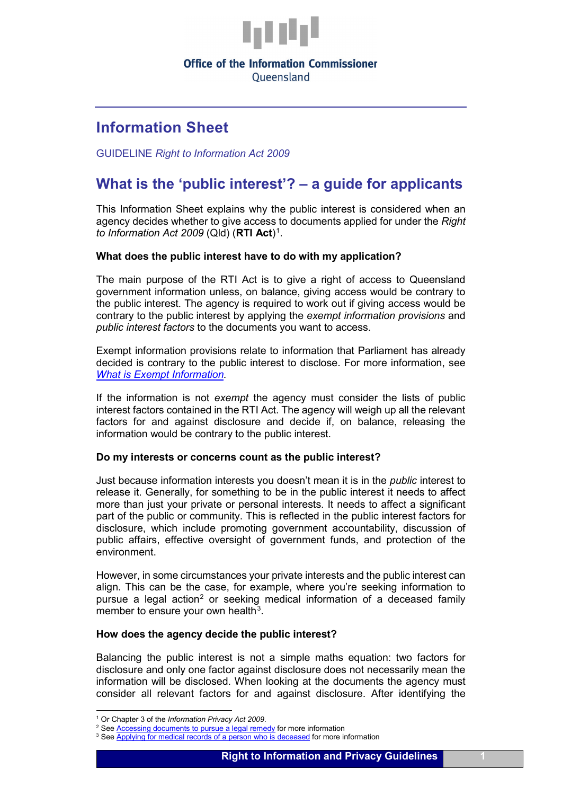

## **Office of the Information Commissioner**

Oueensland

## **Information Sheet**

GUIDELINE *Right to Information Act 2009*

# **What is the 'public interest'? – a guide for applicants**

This Information Sheet explains why the public interest is considered when an agency decides whether to give access to documents applied for under the *Right to Information Act 2009* (Qld) (RTI Act)<sup>[1](#page-0-0)</sup>.

### **What does the public interest have to do with my application?**

The main purpose of the RTI Act is to give a right of access to Queensland government information unless, on balance, giving access would be contrary to the public interest. The agency is required to work out if giving access would be contrary to the public interest by applying the *exempt information provisions* and *public interest factors* to the documents you want to access.

Exempt information provisions relate to information that Parliament has already decided is contrary to the public interest to disclose. For more information, see *[What is Exempt Information.](https://www.oic.qld.gov.au/guidelines/for-community-members/information-sheets-access-and-amendment/what-is-exempt-information)*

If the information is not *exempt* the agency must consider the lists of public interest factors contained in the RTI Act. The agency will weigh up all the relevant factors for and against disclosure and decide if, on balance, releasing the information would be contrary to the public interest.

#### **Do my interests or concerns count as the public interest?**

Just because information interests you doesn't mean it is in the *public* interest to release it. Generally, for something to be in the public interest it needs to affect more than just your private or personal interests. It needs to affect a significant part of the public or community. This is reflected in the public interest factors for disclosure, which include promoting government accountability, discussion of public affairs, effective oversight of government funds, and protection of the environment.

However, in some circumstances your private interests and the public interest can align. This can be the case, for example, where you're seeking information to pursue a legal action<sup>[2](#page-0-1)</sup> or seeking medical information of a deceased family member to ensure your own health $3$ .

#### **How does the agency decide the public interest?**

Balancing the public interest is not a simple maths equation: two factors for disclosure and only one factor against disclosure does not necessarily mean the information will be disclosed. When looking at the documents the agency must consider all relevant factors for and against disclosure. After identifying the

<span id="page-0-0"></span> <sup>1</sup> Or Chapter 3 of the *Information Privacy Act 2009*.

<span id="page-0-1"></span><sup>&</sup>lt;sup>2</sup> See **Accessing documents to pursue a legal remedy** for more information

<span id="page-0-2"></span><sup>&</sup>lt;sup>3</sup> Se[e Applying for medical records of a person who is deceased](https://www.oic.qld.gov.au/guidelines/for-community-members/information-sheets-access-and-amendment/applying-for-medical-records-of-a-person-who-is-deceased) for more information